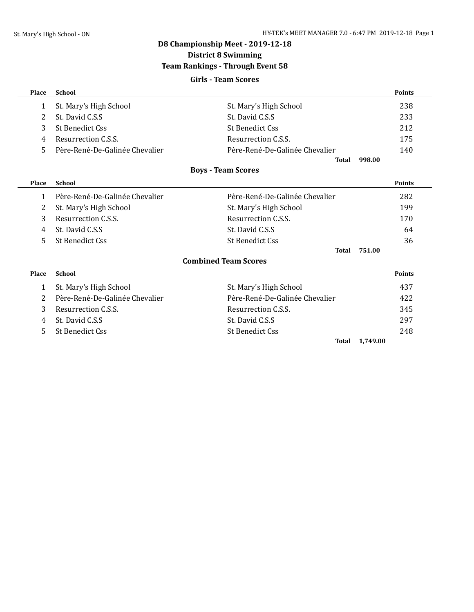# **D8 Championship Meet - 2019-12-18 District 8 Swimming Team Rankings - Through Event 58 Girls - Team Scores**

| Place        | <b>School</b>                  |                                | <b>Points</b> |
|--------------|--------------------------------|--------------------------------|---------------|
| 1            | St. Mary's High School         | St. Mary's High School         | 238           |
| 2            | St. David C.S.S.               | St. David C.S.S.               | 233           |
| 3            | St Benedict Css                | St Benedict Css                | 212           |
| 4            | Resurrection C.S.S.            | Resurrection C.S.S.            | 175           |
| 5            | Père-René-De-Galinée Chevalier | Père-René-De-Galinée Chevalier | 140           |
|              |                                | 998.00<br><b>Total</b>         |               |
|              |                                | <b>Boys - Team Scores</b>      |               |
| Place        | <b>School</b>                  |                                | <b>Points</b> |
| 1            | Père-René-De-Galinée Chevalier | Père-René-De-Galinée Chevalier | 282           |
| 2            | St. Mary's High School         | St. Mary's High School         | 199           |
| 3            | Resurrection C.S.S.            | Resurrection C.S.S.            | 170           |
| 4            | St. David C.S.S                | St. David C.S.S                | 64            |
| 5            | <b>St Benedict Css</b>         | <b>St Benedict Css</b>         | 36            |
|              |                                | 751.00<br><b>Total</b>         |               |
|              |                                | <b>Combined Team Scores</b>    |               |
| <b>Place</b> | <b>School</b>                  |                                | <b>Points</b> |
| 1            | St. Mary's High School         | St. Mary's High School         | 437           |
| 2            | Père-René-De-Galinée Chevalier | Père-René-De-Galinée Chevalier | 422           |
| 3            | Resurrection C.S.S.            | Resurrection C.S.S.            | 345           |
| 4            | St. David C.S.S                | St. David C.S.S.               | 297           |
| 5.           | <b>St Benedict Css</b>         | <b>St Benedict Css</b>         | 248           |

**Total 1,749.00**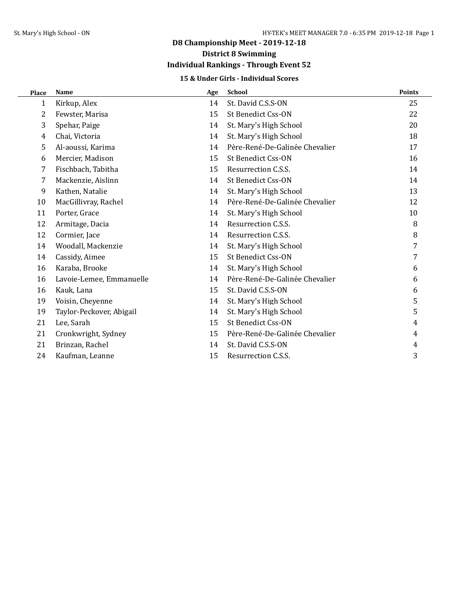# **Individual Rankings - Through Event 52**

## **15 & Under Girls - Individual Scores**

| Place | <b>Name</b>              | Age | <b>School</b>                  | <b>Points</b> |
|-------|--------------------------|-----|--------------------------------|---------------|
| 1     | Kirkup, Alex             | 14  | St. David C.S.S-ON             | 25            |
| 2     | Fewster, Marisa          | 15  | St Benedict Css-ON             | 22            |
| 3     | Spehar, Paige            | 14  | St. Mary's High School         | 20            |
| 4     | Chai, Victoria           | 14  | St. Mary's High School         | 18            |
| 5     | Al-aoussi, Karima        | 14  | Père-René-De-Galinée Chevalier | 17            |
| 6     | Mercier, Madison         | 15  | St Benedict Css-ON             | 16            |
| 7     | Fischbach, Tabitha       | 15  | Resurrection C.S.S.            | 14            |
| 7     | Mackenzie, Aislinn       | 14  | St Benedict Css-ON             | 14            |
| 9     | Kathen, Natalie          | 14  | St. Mary's High School         | 13            |
| 10    | MacGillivray, Rachel     | 14  | Père-René-De-Galinée Chevalier | 12            |
| 11    | Porter, Grace            | 14  | St. Mary's High School         | 10            |
| 12    | Armitage, Dacia          | 14  | Resurrection C.S.S.            | 8             |
| 12    | Cormier, Jace            | 14  | Resurrection C.S.S.            | 8             |
| 14    | Woodall, Mackenzie       | 14  | St. Mary's High School         | 7             |
| 14    | Cassidy, Aimee           | 15  | St Benedict Css-ON             | 7             |
| 16    | Karaba, Brooke           | 14  | St. Mary's High School         | 6             |
| 16    | Lavoie-Lemee, Emmanuelle | 14  | Père-René-De-Galinée Chevalier | 6             |
| 16    | Kauk, Lana               | 15  | St. David C.S.S-ON             | 6             |
| 19    | Voisin, Cheyenne         | 14  | St. Mary's High School         | 5             |
| 19    | Taylor-Peckover, Abigail | 14  | St. Mary's High School         | 5             |
| 21    | Lee, Sarah               | 15  | St Benedict Css-ON             | 4             |
| 21    | Cronkwright, Sydney      | 15  | Père-René-De-Galinée Chevalier | 4             |
| 21    | Brinzan, Rachel          | 14  | St. David C.S.S-ON             | 4             |
| 24    | Kaufman, Leanne          | 15  | Resurrection C.S.S.            | 3             |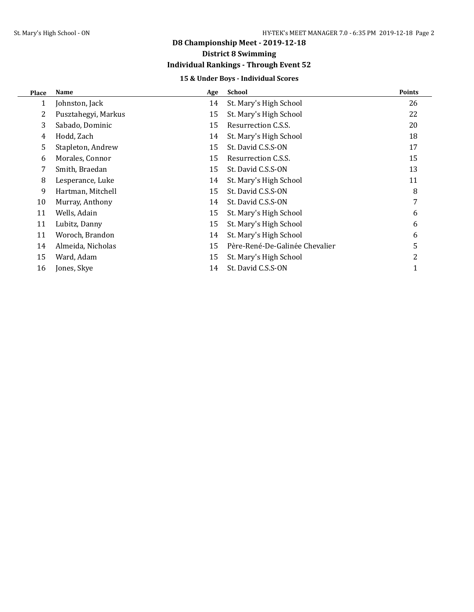# **Individual Rankings - Through Event 52**

## **15 & Under Boys - Individual Scores**

| <b>Place</b> | Name                | Age | School                         | <b>Points</b> |
|--------------|---------------------|-----|--------------------------------|---------------|
| 1            | Johnston, Jack      | 14  | St. Mary's High School         | 26            |
| 2            | Pusztahegyi, Markus | 15  | St. Mary's High School         | 22            |
| 3            | Sabado, Dominic     | 15  | Resurrection C.S.S.            | 20            |
| 4            | Hodd, Zach          | 14  | St. Mary's High School         | 18            |
| 5            | Stapleton, Andrew   | 15  | St. David C.S.S-ON             | 17            |
| 6            | Morales, Connor     | 15  | Resurrection C.S.S.            | 15            |
| 7            | Smith, Braedan      | 15  | St. David C.S.S-ON             | 13            |
| 8            | Lesperance, Luke    | 14  | St. Mary's High School         | 11            |
| 9            | Hartman, Mitchell   | 15  | St. David C.S.S-ON             | 8             |
| 10           | Murray, Anthony     | 14  | St. David C.S.S-ON             | 7             |
| 11           | Wells, Adain        | 15  | St. Mary's High School         | 6             |
| 11           | Lubitz, Danny       | 15  | St. Mary's High School         | 6             |
| 11           | Woroch, Brandon     | 14  | St. Mary's High School         | 6             |
| 14           | Almeida, Nicholas   | 15  | Père-René-De-Galinée Chevalier | 5             |
| 15           | Ward, Adam          | 15  | St. Mary's High School         | 2             |
| 16           | Jones, Skye         | 14  | St. David C.S.S-ON             |               |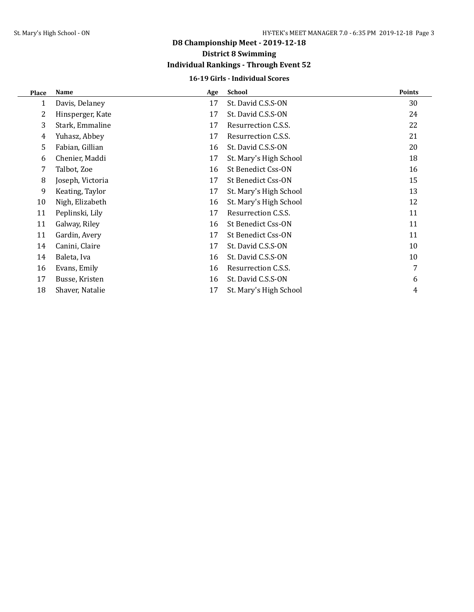# **Individual Rankings - Through Event 52**

## **16-19 Girls - Individual Scores**

| Place | Name             | Age | <b>School</b>          | <b>Points</b> |
|-------|------------------|-----|------------------------|---------------|
| 1     | Davis, Delaney   | 17  | St. David C.S.S-ON     | 30            |
| 2     | Hinsperger, Kate | 17  | St. David C.S.S-ON     | 24            |
| 3     | Stark, Emmaline  | 17  | Resurrection C.S.S.    | 22            |
| 4     | Yuhasz, Abbey    | 17  | Resurrection C.S.S.    | 21            |
| 5     | Fabian, Gillian  | 16  | St. David C.S.S-ON     | 20            |
| 6     | Chenier, Maddi   | 17  | St. Mary's High School | 18            |
| 7     | Talbot, Zoe      | 16  | St Benedict Css-ON     | 16            |
| 8     | Joseph, Victoria | 17  | St Benedict Css-ON     | 15            |
| 9     | Keating, Taylor  | 17  | St. Mary's High School | 13            |
| 10    | Nigh, Elizabeth  | 16  | St. Mary's High School | 12            |
| 11    | Peplinski, Lily  | 17  | Resurrection C.S.S.    | 11            |
| 11    | Galway, Riley    | 16  | St Benedict Css-ON     | 11            |
| 11    | Gardin, Avery    | 17  | St Benedict Css-ON     | 11            |
| 14    | Canini, Claire   | 17  | St. David C.S.S-ON     | 10            |
| 14    | Baleta, Iva      | 16  | St. David C.S.S-ON     | 10            |
| 16    | Evans, Emily     | 16  | Resurrection C.S.S.    | 7             |
| 17    | Busse, Kristen   | 16  | St. David C.S.S-ON     | 6             |
| 18    | Shaver, Natalie  | 17  | St. Mary's High School | 4             |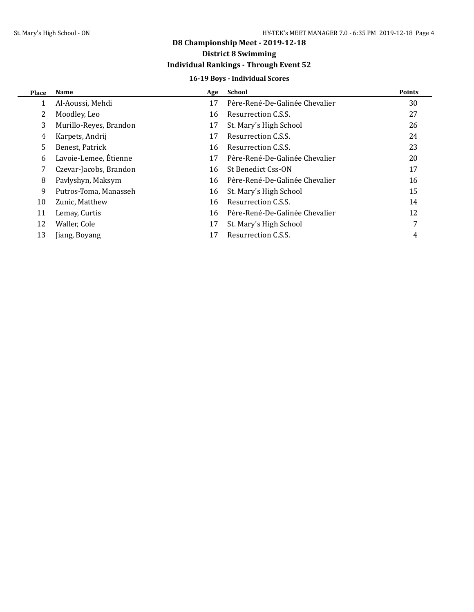# **Individual Rankings - Through Event 52**

## **16-19 Boys - Individual Scores**

| <b>Place</b> | Name                   | Age | School                         | <b>Points</b> |
|--------------|------------------------|-----|--------------------------------|---------------|
| 1            | Al-Aoussi, Mehdi       | 17  | Père-René-De-Galinée Chevalier | 30            |
|              | Moodley, Leo           | 16  | Resurrection C.S.S.            | 27            |
| 3            | Murillo-Reyes, Brandon | 17  | St. Mary's High School         | 26            |
| 4            | Karpets, Andrij        | 17  | Resurrection C.S.S.            | 24            |
| 5.           | Benest, Patrick        | 16  | Resurrection C.S.S.            | 23            |
| 6            | Lavoie-Lemee, Étienne  | 17  | Père-René-De-Galinée Chevalier | 20            |
| 7            | Czevar-Jacobs, Brandon | 16  | St Benedict Css-ON             | 17            |
| 8            | Pavlyshyn, Maksym      | 16  | Père-René-De-Galinée Chevalier | 16            |
| 9            | Putros-Toma, Manasseh  | 16  | St. Mary's High School         | 15            |
| 10           | Zunic, Matthew         | 16  | Resurrection C.S.S.            | 14            |
| 11           | Lemay, Curtis          | 16  | Père-René-De-Galinée Chevalier | 12            |
| 12           | Waller, Cole           | 17  | St. Mary's High School         | 7             |
| 13           | Jiang, Boyang          | 17  | Resurrection C.S.S.            | 4             |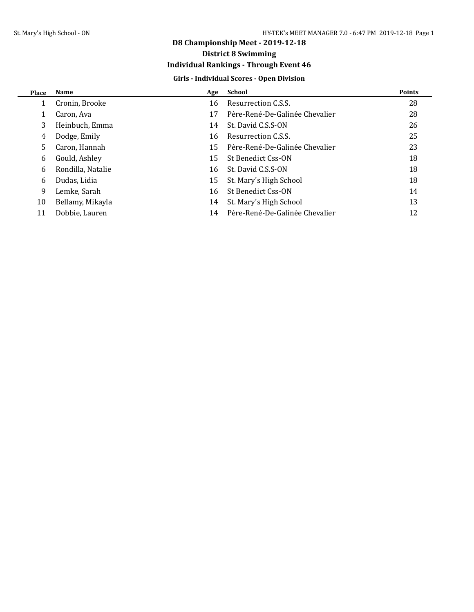# **Individual Rankings - Through Event 46**

## **Girls - Individual Scores - Open Division**

| <b>Place</b> | <b>Name</b>       | Age | <b>School</b>                  | <b>Points</b> |
|--------------|-------------------|-----|--------------------------------|---------------|
|              | Cronin, Brooke    | 16  | Resurrection C.S.S.            | 28            |
|              | Caron, Ava        | 17  | Père-René-De-Galinée Chevalier | 28            |
| 3            | Heinbuch, Emma    | 14  | St. David C.S.S-ON             | 26            |
| 4            | Dodge, Emily      | 16  | Resurrection C.S.S.            | 25            |
| .5           | Caron, Hannah     | 15  | Père-René-De-Galinée Chevalier | 23            |
| 6            | Gould, Ashley     | 15  | St Benedict Css-ON             | 18            |
| 6            | Rondilla, Natalie | 16  | St. David C.S.S-ON             | 18            |
| 6            | Dudas, Lidia      | 15  | St. Mary's High School         | 18            |
| 9            | Lemke, Sarah      | 16  | St Benedict Css-ON             | 14            |
| 10           | Bellamy, Mikayla  | 14  | St. Mary's High School         | 13            |
| 11           | Dobbie, Lauren    | 14  | Père-René-De-Galinée Chevalier | 12            |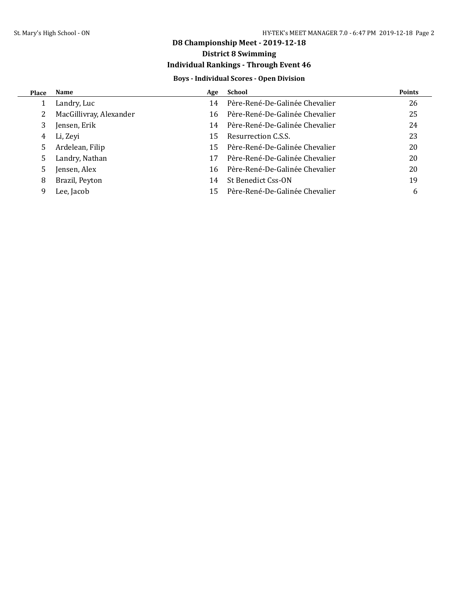# **District 8 Swimming**

# **Individual Rankings - Through Event 46**

## **Boys - Individual Scores - Open Division**

| <b>Place</b> | Name                    | Age | School                         | <b>Points</b> |
|--------------|-------------------------|-----|--------------------------------|---------------|
|              | Landry, Luc             | 14  | Père-René-De-Galinée Chevalier | 26            |
|              | MacGillivray, Alexander | 16  | Père-René-De-Galinée Chevalier | 25            |
|              | Jensen, Erik            | 14  | Père-René-De-Galinée Chevalier | 24            |
| 4            | Li, Zevi                | 15  | Resurrection C.S.S.            | 23            |
| 5.           | Ardelean, Filip         | 15  | Père-René-De-Galinée Chevalier | 20            |
| 5.           | Landry, Nathan          | 17  | Père-René-De-Galinée Chevalier | 20            |
| 5.           | Jensen, Alex            | 16  | Père-René-De-Galinée Chevalier | 20            |
| 8            | Brazil, Peyton          | 14  | St Benedict Css-ON             | 19            |
| 9            | Lee, Jacob              | 15  | Père-René-De-Galinée Chevalier | 6             |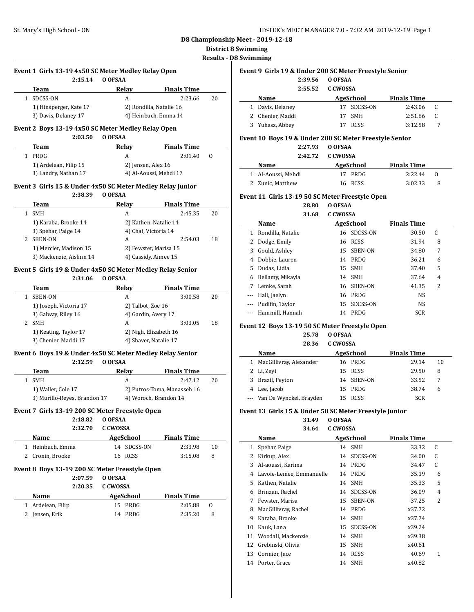# **District 8 Swimming**

**mming** 

|              | Event 1 Girls 13-19 4x50 SC Meter Medley Relay Open<br>2:15.14 | O OFSAA               |                             |              |
|--------------|----------------------------------------------------------------|-----------------------|-----------------------------|--------------|
|              | Team                                                           | Relay                 | <b>Finals Time</b>          |              |
| $\mathbf{1}$ | SDCSS-ON                                                       | A                     | 2:23.66                     | 20           |
|              | 1) Hinsperger, Kate 17                                         |                       | 2) Rondilla, Natalie 16     |              |
|              | 3) Davis, Delaney 17                                           |                       | 4) Heinbuch, Emma 14        |              |
|              |                                                                |                       |                             |              |
|              | Event 2 Boys 13-19 4x50 SC Meter Medley Relay Open<br>2:03.50  | O OFSAA               |                             |              |
|              | <b>Team</b>                                                    | Relay                 | <b>Finals Time</b>          |              |
|              | 1 PRDG                                                         | A                     | 2:01.40                     | $\mathbf{0}$ |
|              | 1) Ardelean, Filip 15                                          | 2) Jensen, Alex 16    |                             |              |
|              | 3) Landry, Nathan 17                                           |                       | 4) Al-Aoussi, Mehdi 17      |              |
|              | Event 3 Girls 15 & Under 4x50 SC Meter Medley Relay Junior     |                       |                             |              |
|              | 2:38.39                                                        | O OFSAA               |                             |              |
|              | <b>Team</b>                                                    | Relay                 | <b>Finals Time</b>          |              |
|              | 1 SMH                                                          | A                     | 2:45.35                     | 20           |
|              | 1) Karaba, Brooke 14                                           |                       | 2) Kathen, Natalie 14       |              |
|              | 3) Spehar, Paige 14                                            | 4) Chai, Victoria 14  |                             |              |
|              | 2 SBEN-ON                                                      | A                     | 2:54.03                     | 18           |
|              | 1) Mercier, Madison 15                                         |                       | 2) Fewster, Marisa 15       |              |
|              | 3) Mackenzie, Aislinn 14                                       | 4) Cassidy, Aimee 15  |                             |              |
|              | Event 5 Girls 19 & Under 4x50 SC Meter Medley Relay Senior     |                       |                             |              |
|              | 2:31.06                                                        | O OFSAA               |                             |              |
|              | Team                                                           | Relay                 | <b>Finals Time</b>          |              |
|              | 1 SBEN-ON                                                      | A                     | 3:00.58                     | 20           |
|              | 1) Joseph, Victoria 17                                         | 2) Talbot, Zoe 16     |                             |              |
|              | 3) Galway, Riley 16                                            | 4) Gardin, Avery 17   |                             |              |
|              | 2 SMH                                                          | A                     | 3:03.05                     | 18           |
|              | 1) Keating, Taylor 17                                          |                       | 2) Nigh, Elizabeth 16       |              |
|              | 3) Chenier, Maddi 17                                           | 4) Shaver, Natalie 17 |                             |              |
|              | Event 6 Boys 19 & Under 4x50 SC Meter Medley Relay Senior      |                       |                             |              |
|              | 2:12.59                                                        | O OFSAA               |                             |              |
|              | Team                                                           | Relay                 | <b>Finals Time</b>          |              |
|              | 1 SMH                                                          | A                     | 2:47.12                     | 20           |
|              | 1) Waller, Cole 17                                             |                       | 2) Putros-Toma, Manasseh 16 |              |
|              | 3) Murillo-Reyes, Brandon 17                                   |                       | 4) Woroch, Brandon 14       |              |
|              | Event 7  Girls 13-19 200 SC Meter Freestyle Open               |                       |                             |              |
|              | 2:18.82                                                        | O OFSAA               |                             |              |
|              | 2:32.70                                                        | <b>C CWOSSA</b>       |                             |              |
|              | Name                                                           | <b>AgeSchool</b>      | <b>Finals Time</b>          |              |
|              | 1 Heinbuch, Emma                                               | 14 SDCSS-ON           | 2:33.98                     | 10           |
|              | 2 Cronin, Brooke                                               | 16 RCSS               | 3:15.08                     | 8            |
|              | Event 8 Boys 13-19 200 SC Meter Freestyle Open                 |                       |                             |              |
|              | 2:07.59                                                        | O OFSAA               |                             |              |
|              |                                                                |                       |                             |              |
|              |                                                                |                       |                             |              |
|              | 2:20.35                                                        | <b>C CWOSSA</b>       |                             |              |
|              | Name                                                           | AgeSchool             | <b>Finals Time</b>          |              |
|              | 1 Ardelean, Filip                                              | 15 PRDG               | 2:05.88                     | 0            |
|              | 2 Jensen, Erik                                                 | 14 PRDG               | 2:35.20                     | 8            |
|              |                                                                |                       |                             |              |
|              |                                                                |                       |                             |              |
|              |                                                                |                       |                             |              |
|              |                                                                |                       |                             |              |

| Event 9  Girls 19 & Under 200 SC Meter Freestyle Senior |
|---------------------------------------------------------|
|                                                         |

| 2:39.56          | O OFSAA     |                    |   |  |
|------------------|-------------|--------------------|---|--|
| 2:55.52          | C CWOSSA    |                    |   |  |
| Name             | AgeSchool   | <b>Finals Time</b> |   |  |
| 1 Davis, Delaney | 17 SDCSS-ON | 2:43.06            | C |  |
| 2 Chenier, Maddi | SMH<br>17   | 2:51.86            |   |  |
| 3 Yuhasz, Abbey  | <b>RCSS</b> | 3:12.58            |   |  |
|                  |             |                    |   |  |

#### **Event 10 Boys 19 & Under 200 SC Meter Freestyle Senior**

**2:27.93 O OFSAA**

|                    | 2:42.72 C CWOSSA |                    |    |  |
|--------------------|------------------|--------------------|----|--|
| Name               | AgeSchool        | <b>Finals Time</b> |    |  |
| 1 Al-Aoussi, Mehdi | 17 PRDG          | 2:22.44            | റ  |  |
| 2 Zunic, Matthew   | 16 RCSS          | 3:02.33            | -8 |  |

## **Event 11 Girls 13-19 50 SC Meter Freestyle Open**

**28.80 O OFSAA**

| 31.68 | C CWOSSA |
|-------|----------|
|       |          |

|   | Name              |    | AgeSchool   | <b>Finals Time</b> |   |  |
|---|-------------------|----|-------------|--------------------|---|--|
| 1 | Rondilla, Natalie | 16 | SDCSS-ON    | 30.50              | C |  |
| 2 | Dodge, Emily      | 16 | <b>RCSS</b> | 31.94              | 8 |  |
| 3 | Gould, Ashley     | 15 | SBEN-ON     | 34.80              | 7 |  |
| 4 | Dobbie, Lauren    | 14 | PRDG        | 36.21              | 6 |  |
| 5 | Dudas, Lidia      | 15 | SMH         | 37.40              | 5 |  |
| 6 | Bellamy, Mikayla  | 14 | <b>SMH</b>  | 37.64              | 4 |  |
| 7 | Lemke, Sarah      | 16 | SBEN-ON     | 41.35              | 2 |  |
|   | Hall, Jaelyn      | 16 | PRDG        | NS.                |   |  |
|   | Pudifin, Taylor   | 15 | SDCSS-ON    | NS.                |   |  |
|   | Hammill, Hannah   | 14 | PRDG        | <b>SCR</b>         |   |  |
|   |                   |    |             |                    |   |  |

### **Event 12 Boys 13-19 50 SC Meter Freestyle Open**

**25.78 O OFSAA**

|   | 28.36                       | C.CWOSSA |             |                    |    |
|---|-----------------------------|----------|-------------|--------------------|----|
|   | Name                        |          | AgeSchool   | <b>Finals Time</b> |    |
|   | 1 MacGillivray, Alexander   |          | 16 PRDG     | 29.14              | 10 |
|   | 2 Li, Zevi                  |          | 15 RCSS     | 29.50              | 8  |
| 3 | Brazil, Peyton              |          | 14 SBEN-ON  | 33.52              |    |
|   | 4 Lee, Jacob                |          | 15 PRDG     | 38.74              | 6  |
|   | --- Van De Wynckel, Brayden | 15.      | <b>RCSS</b> | <b>SCR</b>         |    |

## **Event 13 Girls 15 & Under 50 SC Meter Freestyle Junior**

**31.49 O OFSAA 34.64 C CWOSSA**

|    | Name                     |    | AgeSchool   | <b>Finals Time</b> |   |  |  |
|----|--------------------------|----|-------------|--------------------|---|--|--|
| 1  | Spehar, Paige            | 14 | <b>SMH</b>  | 33.32              | C |  |  |
| 2  | Kirkup, Alex             |    | 14 SDCSS-ON | 34.00              | C |  |  |
| 3  | Al-aoussi, Karima        | 14 | PRDG        | 34.47              | C |  |  |
| 4  | Lavoie-Lemee, Emmanuelle |    | 14 PRDG     | 35.19              | 6 |  |  |
| 5  | Kathen, Natalie          |    | 14 SMH      | 35.33              | 5 |  |  |
| 6  | Brinzan, Rachel          |    | 14 SDCSS-ON | 36.09              | 4 |  |  |
| 7  | Fewster, Marisa          |    | 15 SBEN-ON  | 37.25              | 2 |  |  |
| 8  | MacGillivray, Rachel     |    | 14 PRDG     | x37.72             |   |  |  |
| 9  | Karaba, Brooke           |    | 14 SMH      | x37.74             |   |  |  |
| 10 | Kauk, Lana               |    | 15 SDCSS-ON | x39.24             |   |  |  |
| 11 | Woodall, Mackenzie       | 14 | <b>SMH</b>  | x39.38             |   |  |  |
| 12 | Grebinski, Olivia        | 15 | SMH         | x40.61             |   |  |  |
| 13 | Cormier, Jace            | 14 | <b>RCSS</b> | 40.69              | 1 |  |  |
|    | 14 Porter, Grace         |    | 14 SMH      | x40.82             |   |  |  |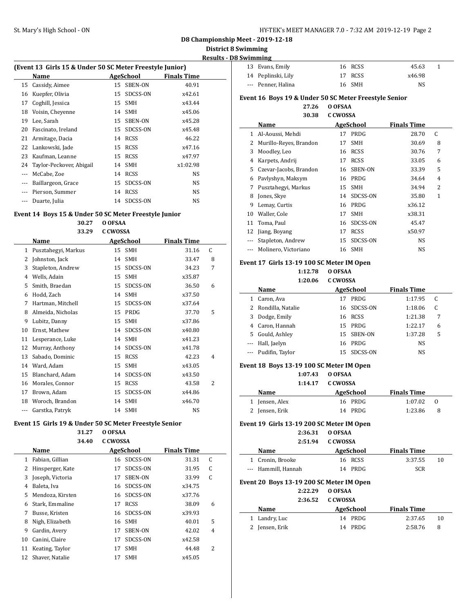$\overline{\phantom{a}}$ 

**D8 Championship Meet - 2019-12-18**

**District 8 Swimming**

 $\overline{\phantom{0}}$ 

 $\overline{\phantom{a}}$ 

**Results - D8 Swimming**

| (Event 13 Girls 15 & Under 50 SC Meter Freestyle Junior) |                          |           |             |                    |  |  |  |
|----------------------------------------------------------|--------------------------|-----------|-------------|--------------------|--|--|--|
|                                                          | Name                     | AgeSchool |             | <b>Finals Time</b> |  |  |  |
| 15                                                       | Cassidy, Aimee           | 15        | SBEN-ON     | 40.91              |  |  |  |
| 16                                                       | Kuepfer, Olivia          | 15        | SDCSS-ON    | x42.61             |  |  |  |
| 17                                                       | Coghill, Jessica         | 15        | <b>SMH</b>  | x43.44             |  |  |  |
| 18                                                       | Voisin, Cheyenne         |           | 14 SMH      | x45.06             |  |  |  |
| 19                                                       | Lee, Sarah               | 15        | SBEN-ON     | x45.28             |  |  |  |
| 20                                                       | Fascinato, Ireland       | 15        | SDCSS-ON    | x45.48             |  |  |  |
| 21                                                       | Armitage, Dacia          | 14        | RCSS        | 46.22              |  |  |  |
|                                                          | 22 Lankowski, Jade       | 15        | <b>RCSS</b> | x47.16             |  |  |  |
| 23                                                       | Kaufman, Leanne          |           | 15 RCSS     | x47.97             |  |  |  |
| 24                                                       | Taylor-Peckover, Abigail |           | 14 SMH      | x1:02.98           |  |  |  |
| $- - -$                                                  | McCabe, Zoe              | 14        | RCSS        | NS                 |  |  |  |
| ---                                                      | Baillargeon, Grace       |           | 15 SDCSS-ON | NS                 |  |  |  |
|                                                          | Pierson, Summer          | 14        | RCSS        | NS                 |  |  |  |
|                                                          | Duarte, Julia            |           | 14 SDCSS-ON | NS                 |  |  |  |

#### **Event 14 Boys 15 & Under 50 SC Meter Freestyle Junior**

|    | 30.27               | O OFSAA           |          |                    |    |
|----|---------------------|-------------------|----------|--------------------|----|
|    | 33.29               | <b>C CWOSSA</b>   |          |                    |    |
|    | Name                | <b>AgeSchool</b>  |          | <b>Finals Time</b> |    |
| 1  | Pusztahegyi, Markus | <b>SMH</b><br>15  |          | 31.16              | C. |
| 2  | Johnston, Jack      | <b>SMH</b><br>14  |          | 33.47              | 8  |
| 3  | Stapleton, Andrew   | 15                | SDCSS-ON | 34.23              | 7  |
| 4  | Wells, Adain        | <b>SMH</b><br>15  |          | x35.87             |    |
| 5  | Smith, Braedan      | 15                | SDCSS-ON | 36.50              | 6  |
| 6  | Hodd, Zach          | <b>SMH</b><br>14  |          | x37.50             |    |
| 7  | Hartman, Mitchell   | 15                | SDCSS-ON | x37.64             |    |
| 8  | Almeida, Nicholas   | PRDG<br>15        |          | 37.70              | 5  |
| 9  | Lubitz, Danny       | <b>SMH</b><br>15  |          | x37.86             |    |
| 10 | Ernst, Mathew       | 14                | SDCSS-ON | x40.80             |    |
| 11 | Lesperance, Luke    | <b>SMH</b><br>14  |          | x41.23             |    |
| 12 | Murray, Anthony     | 14                | SDCSS-ON | x41.78             |    |
| 13 | Sabado, Dominic     | <b>RCSS</b><br>15 |          | 42.23              | 4  |
| 14 | Ward, Adam          | 15<br><b>SMH</b>  |          | x43.05             |    |
| 15 | Blanchard, Adam     | 14                | SDCSS-ON | x43.50             |    |
| 16 | Morales, Connor     | <b>RCSS</b><br>15 |          | 43.58              | 2  |
| 17 | Brown, Adam         | 15                | SDCSS-ON | x44.86             |    |
| 18 | Woroch, Brandon     | <b>SMH</b><br>14  |          | x46.70             |    |
|    | Garstka, Patryk     | <b>SMH</b><br>14  |          | NS                 |    |

### **Event 15 Girls 19 & Under 50 SC Meter Freestyle Senior**

**31.27 O OFSAA 34.40 C CWOSSA**

|    | JT.TV            | <u>u uwujin</u>   |          |                    |   |
|----|------------------|-------------------|----------|--------------------|---|
|    | Name             | AgeSchool         |          | <b>Finals Time</b> |   |
| 1  | Fabian, Gillian  | 16                | SDCSS-ON | 31.31              | C |
| 2  | Hinsperger, Kate | 17                | SDCSS-ON | 31.95              | C |
| 3  | Joseph, Victoria | 17                | SBEN-ON  | 33.99              | C |
| 4  | Baleta, Iva      | 16                | SDCSS-ON | x34.75             |   |
| 5  | Mendoza, Kirsten | 16                | SDCSS-ON | x37.76             |   |
| 6  | Stark, Emmaline  | <b>RCSS</b><br>17 |          | 38.09              | 6 |
| 7  | Busse, Kristen   | 16                | SDCSS-ON | x39.93             |   |
| 8  | Nigh, Elizabeth  | <b>SMH</b><br>16  |          | 40.01              | 5 |
| 9  | Gardin, Avery    | 17                | SBEN-ON  | 42.02              | 4 |
| 10 | Canini, Claire   | 17                | SDCSS-ON | x42.58             |   |
| 11 | Keating, Taylor  | <b>SMH</b><br>17  |          | 44.48              | 2 |
| 12 | Shaver, Natalie  | <b>SMH</b><br>17  |          | x45.05             |   |
|    |                  |                   |          |                    |   |

| 13 Evans, Emily    | 16 RCSS | 45.63  |  |
|--------------------|---------|--------|--|
| 14 Peplinski, Lily | 17 RCSS | x46.98 |  |
| --- Penner, Halina | 16 SMH  | NS     |  |

## **Event 16 Boys 19 & Under 50 SC Meter Freestyle Senior**

**27.26 O OFSAA**

|     | 30.38                  | <b>C CWOSSA</b> |             |                    |              |
|-----|------------------------|-----------------|-------------|--------------------|--------------|
|     | Name                   | AgeSchool       |             | <b>Finals Time</b> |              |
| 1   | Al-Aoussi, Mehdi       | 17              | PRDG        | 28.70              | C            |
| 2   | Murillo-Reyes, Brandon | 17              | SMH         | 30.69              | 8            |
| 3   | Moodley, Leo           | 16              | <b>RCSS</b> | 30.76              | 7            |
| 4   | Karpets, Andrij        | 17              | <b>RCSS</b> | 33.05              | 6            |
| 5   | Czevar-Jacobs, Brandon | 16              | SBEN-ON     | 33.39              | 5            |
| 6   | Pavlyshyn, Maksym      | 16              | PRDG        | 34.64              | 4            |
| 7   | Pusztahegyi, Markus    | 15              | <b>SMH</b>  | 34.94              | 2            |
| 8   | Jones, Skye            | 14              | SDCSS-ON    | 35.80              | $\mathbf{1}$ |
| 9   | Lemay, Curtis          | 16              | PRDG        | x36.12             |              |
| 10  | Waller, Cole           | 17              | <b>SMH</b>  | x38.31             |              |
| 11  | Toma, Paul             | 16              | SDCSS-ON    | 45.47              |              |
| 12  | Jiang, Boyang          | 17              | RCSS        | x50.97             |              |
| --- | Stapleton, Andrew      | 15              | SDCSS-ON    | NS                 |              |
|     | Molinero, Victoriano   | 16              | <b>SMH</b>  | <b>NS</b>          |              |

#### **Event 17 Girls 13-19 100 SC Meter IM Open**

**1:12.78 O OFSAA 1:20.06 C CWOSSA**

|   | Name                | AgeSchool       | <b>Finals Time</b> |   |  |
|---|---------------------|-----------------|--------------------|---|--|
|   | Caron, Ava          | PRDG<br>17      | 1:17.95            | C |  |
|   | Rondilla, Natalie   | 16 SDCSS-ON     | 1:18.06            |   |  |
| 3 | Dodge, Emily        | RCSS<br>16      | 1:21.38            | 7 |  |
| 4 | Caron, Hannah       | PRDG<br>15      | 1:22.17            | 6 |  |
| 5 | Gould, Ashley       | 15 SBEN-ON      | 1:37.28            | 5 |  |
|   | --- Hall, Jaelyn    | PRDG<br>16      | NS                 |   |  |
|   | --- Pudifin, Taylor | SDCSS-ON<br>15. | NS                 |   |  |
|   |                     |                 |                    |   |  |

### **Event 18 Boys 13-19 100 SC Meter IM Open**

|                | 1:07.43 | O OFSAA<br>1:14.17 C CWOSSA |                    |          |  |
|----------------|---------|-----------------------------|--------------------|----------|--|
| <b>Name</b>    |         | AgeSchool                   | <b>Finals Time</b> |          |  |
| 1 Jensen, Alex |         | 16 PRDG                     | 1:07.02            | $\Omega$ |  |
| 2 Jensen, Erik |         | 14 PRDG                     | 1:23.86            | 8        |  |
|                |         |                             |                    |          |  |

### **Event 19 Girls 13-19 200 SC Meter IM Open**

|         | $3 + 200$ 30 Mcter In Op |
|---------|--------------------------|
| 2:36.31 | O OFSAA                  |
| 2:51.94 | C CWOSSA                 |

|                                                                                          | <b>Name</b>         | AgeSchool | <b>Finals Time</b> |  |  |  |
|------------------------------------------------------------------------------------------|---------------------|-----------|--------------------|--|--|--|
|                                                                                          | 1 Cronin, Brooke    | 16 RCSS   | 3:37.55<br>10      |  |  |  |
|                                                                                          | --- Hammill, Hannah | 14 PRDG   | <b>SCR</b>         |  |  |  |
| $F_{\text{total}}$ 20, $D_{\text{total}}$ 49, 40, 200, 66 Material IM $O_{\text{total}}$ |                     |           |                    |  |  |  |

#### **Event 20 Boys 13-19 200 SC Meter IM Open**

|               | 2:22.29 | O OFSAA   |                    |    |
|---------------|---------|-----------|--------------------|----|
|               | 2:36.52 | C CWOSSA  |                    |    |
| Name          |         | AgeSchool | <b>Finals Time</b> |    |
| 1 Landry, Luc |         | 14 PRDG   | 2:37.65            | 10 |
| Jensen, Erik  |         | 14 PRDG   | 2:58.76            | 8  |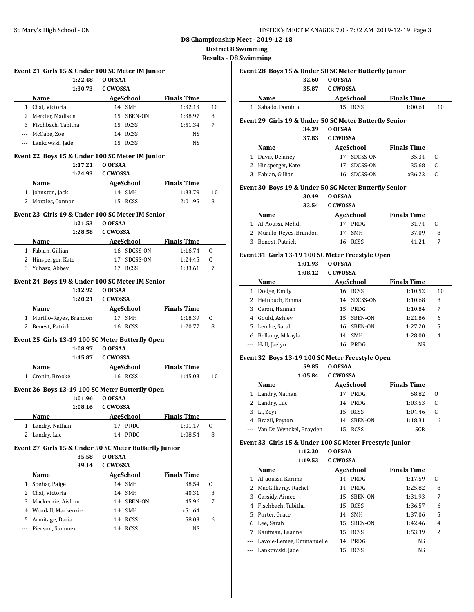**District 8 Swimming**

**Results - D8 Swimming**

|                       | Event 21 Girls 15 & Under 100 SC Meter IM Junior       |                   |                    |    |
|-----------------------|--------------------------------------------------------|-------------------|--------------------|----|
|                       | 1:22.48                                                | O OFSAA           |                    |    |
|                       | 1:30.73                                                | <b>C CWOSSA</b>   |                    |    |
|                       | Name                                                   | AgeSchool         | <b>Finals Time</b> |    |
|                       | 1 Chai, Victoria                                       | 14 SMH            | 1:32.13            | 10 |
|                       | 2 Mercier, Madison                                     | 15 SBEN-ON        | 1:38.97            | 8  |
|                       | 3 Fischbach, Tabitha                                   | 15 RCSS           | 1:51.34            | 7  |
|                       | --- McCabe, Zoe                                        | 14 RCSS           | NS                 |    |
|                       | --- Lankowski, Jade                                    | 15 RCSS           | NS                 |    |
|                       | Event 22 Boys 15 & Under 100 SC Meter IM Junior        |                   |                    |    |
|                       | 1:17.21                                                | O OFSAA           |                    |    |
|                       | 1:24.93                                                | C CWOSSA          |                    |    |
|                       | Name                                                   | AgeSchool         | <b>Finals Time</b> |    |
|                       | 1 Johnston, Jack                                       | 14 SMH            | 1:33.79            | 10 |
| 2                     | Morales, Connor                                        | 15 RCSS           | 2:01.95            | 8  |
|                       |                                                        |                   |                    |    |
|                       | Event 23 Girls 19 & Under 100 SC Meter IM Senior       |                   |                    |    |
|                       | 1:21.53                                                | O OFSAA           |                    |    |
|                       | 1:28.58                                                | <b>C CWOSSA</b>   |                    |    |
|                       | Name                                                   | AgeSchool         | <b>Finals Time</b> |    |
|                       | 1 Fabian, Gillian                                      | 16 SDCSS-ON       | 1:16.74            | 0  |
|                       | 2 Hinsperger, Kate                                     | 17 SDCSS-ON       | 1:24.45            | C. |
|                       | 3 Yuhasz, Abbey                                        | 17 RCSS           | 1:33.61            | 7  |
|                       | Event 24 Boys 19 & Under 100 SC Meter IM Senior        |                   |                    |    |
|                       | 1:12.92                                                | O OFSAA           |                    |    |
|                       | 1:20.21                                                | <b>C CWOSSA</b>   |                    |    |
|                       | Name                                                   | AgeSchool         | <b>Finals Time</b> |    |
|                       | 1 Murillo-Reyes, Brandon                               | 17 SMH            | 1:18.39            | C  |
|                       | 2 Benest, Patrick                                      | 16 RCSS           | 1:20.77            | 8  |
|                       |                                                        |                   |                    |    |
|                       | Event 25 Girls 13-19 100 SC Meter Butterfly Open       |                   |                    |    |
|                       | 1:08.97                                                | O OFSAA           |                    |    |
|                       | 1:15.87                                                | <b>C CWOSSA</b>   |                    |    |
|                       | Name                                                   | <b>AgeSchool</b>  | <b>Finals Time</b> |    |
|                       | 1 Cronin. Brooke                                       | 16 RCSS           | 1:45.03            | 10 |
|                       | Event 26 Boys 13-19 100 SC Meter Butterfly Open        |                   |                    |    |
|                       | 1:01.96                                                | O OFSAA           |                    |    |
|                       |                                                        | 1:08.16 C CWOSSA  |                    |    |
|                       | Name                                                   | AgeSchool         | <b>Finals Time</b> |    |
| $\mathbf{1}$          | Landry, Nathan                                         | PRDG<br>17        | 1:01.17            | 0  |
| $\mathbf{2}^{\prime}$ | Landry, Luc                                            | PRDG<br>14        | 1:08.54            | 8  |
|                       |                                                        |                   |                    |    |
|                       | Event 27 Girls 15 & Under 50 SC Meter Butterfly Junior |                   |                    |    |
|                       | 35.58                                                  | O OFSAA           |                    |    |
|                       | 39.14                                                  | C CWOSSA          |                    |    |
|                       | Name                                                   | <u>AgeSchool</u>  | <b>Finals Time</b> |    |
| 1                     | Spehar, Paige                                          | SMH<br>14         | 38.54              | C  |
| $\mathbf{2}$          | Chai, Victoria                                         | 14<br><b>SMH</b>  | 40.31              | 8  |
| 3                     | Mackenzie, Aislinn                                     | SBEN-ON<br>14     | 45.96              | 7  |
|                       | 4 Woodall, Mackenzie                                   | 14<br>SMH         | x51.64             |    |
|                       | 5 Armitage, Dacia                                      | <b>RCSS</b><br>14 | 58.03              | 6  |
|                       | Pierson, Summer                                        | <b>RCSS</b><br>14 | NS                 |    |

|       | Event 28 Boys 15 & Under 50 SC Meter Butterfly Junior<br>32.60 | O OFSAA                    |                    |        |
|-------|----------------------------------------------------------------|----------------------------|--------------------|--------|
|       | 35.87                                                          | C CWOSSA                   |                    |        |
|       | Name                                                           | <b>AgeSchool</b>           | <b>Finals Time</b> |        |
|       | 1 Sabado, Dominic                                              | 15 RCSS                    | 1:00.61            | 10     |
|       | Event 29 Girls 19 & Under 50 SC Meter Butterfly Senior         |                            |                    |        |
|       | 34.39                                                          | O OFSAA                    |                    |        |
|       | 37.83                                                          | <b>C CWOSSA</b>            |                    |        |
|       | Name                                                           | AgeSchool                  | <b>Finals Time</b> |        |
|       | 1 Davis, Delaney                                               | 17 SDCSS-ON                | 35.34              | C      |
|       | 2 Hinsperger, Kate                                             | SDCSS-ON<br>17             | 35.68              | C      |
|       | 3 Fabian, Gillian                                              | SDCSS-ON<br>16             | x36.22             | C      |
|       | Event 30 Boys 19 & Under 50 SC Meter Butterfly Senior          |                            |                    |        |
|       | 30.49                                                          | O OFSAA                    |                    |        |
|       | 33.54                                                          | C CWOSSA                   |                    |        |
|       | Name                                                           | AgeSchool                  | <b>Finals Time</b> |        |
|       | 1 Al-Aoussi, Mehdi                                             | 17 PRDG                    | 31.74              | C      |
|       | 2 Murillo-Reyes, Brandon                                       | <b>SMH</b><br>17           | 37.09              | 8      |
|       | 3 Benest, Patrick                                              | 16 RCSS                    | 41.21              | 7      |
|       |                                                                |                            |                    |        |
|       | Event 31 Girls 13-19 100 SC Meter Freestyle Open               |                            |                    |        |
|       | 1:01.93                                                        | O OFSAA                    |                    |        |
|       | 1:08.12                                                        | C CWOSSA                   |                    |        |
|       | Name                                                           | AgeSchool                  | <b>Finals Time</b> |        |
|       | 1 Dodge, Emily                                                 | 16 RCSS                    | 1:10.52            | 10     |
|       | 2 Heinbuch, Emma                                               | 14 SDCSS-ON                | 1:10.68            | 8      |
|       | 3 Caron, Hannah                                                | 15 PRDG                    | 1:10.84            | 7      |
|       | 4 Gould, Ashley                                                | 15 SBEN-ON                 | 1:21.86            | 6      |
|       | 5 Lemke, Sarah                                                 | 16 SBEN-ON                 | 1:27.20            | 5      |
|       | 6 Bellamy, Mikayla                                             | 14 SMH                     | 1:28.00            | 4      |
|       | --- Hall, Jaelyn                                               | 16 PRDG                    | NS                 |        |
|       | Event 32 Boys 13-19 100 SC Meter Freestyle Open                |                            |                    |        |
|       | 59.85                                                          | O OFSAA                    |                    |        |
|       | 1:05.84                                                        | <b>C CWOSSA</b>            |                    |        |
|       | Name                                                           | AgeSchool                  | <b>Finals Time</b> |        |
|       | 1 Landry, Nathan                                               | 17 PRDG                    | 58.82              | 0      |
|       | 2 Landry, Luc                                                  | 14 PRDG                    | 1:03.53            | C      |
|       | 3 Li, Zeyi                                                     | 15<br>RCSS                 | 1:04.46            | C      |
|       | 4 Brazil, Peyton                                               | 14<br>SBEN-ON              | 1:18.31            | 6      |
|       |                                                                |                            | SCR                |        |
| $---$ | Van De Wynckel, Brayden                                        | 15<br>RCSS                 |                    |        |
|       |                                                                |                            |                    |        |
|       | Event 33 Girls 15 & Under 100 SC Meter Freestyle Junior        |                            |                    |        |
|       | 1:12.30<br>1:19.53                                             | O OFSAA<br><b>C CWOSSA</b> |                    |        |
|       |                                                                |                            |                    |        |
|       | Name                                                           | <b>AgeSchool</b>           | <b>Finals Time</b> | C      |
|       | 1 Al-aoussi, Karima                                            | 14 PRDG<br>PRDG<br>14      | 1:17.59            |        |
|       | 2 MacGillivray, Rachel<br>3 Cassidy, Aimee                     | SBEN-ON<br>15              | 1:25.82<br>1:31.93 | 8<br>7 |
|       | 4 Fischbach, Tabitha                                           | RCSS<br>15                 |                    | 6      |
|       | 5 Porter, Grace                                                | SMH<br>14                  | 1:36.57<br>1:37.06 | 5      |
|       | 6 Lee, Sarah                                                   | 15<br>SBEN-ON              | 1:42.46            | 4      |
|       | 7 Kaufman, Leanne                                              | RCSS<br>15                 | 1:53.39            | 2      |
|       | --- Lavoie-Lemee, Emmanuelle                                   | PRDG<br>14                 | NS                 |        |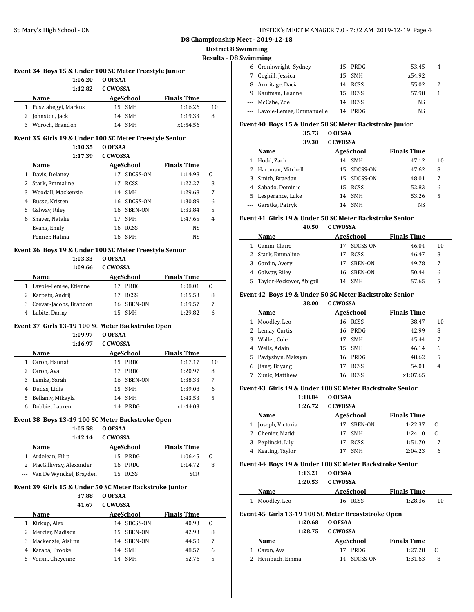### **District 8 Swimming**

 $\sim$ 

 $\overline{a}$ 

### **Results - D8 Swimming**

| Event 34 Boys 15 & Under 100 SC Meter Freestyle Junior |                       |           |                    |    |  |  |  |
|--------------------------------------------------------|-----------------------|-----------|--------------------|----|--|--|--|
|                                                        | 1:06.20               | O OFSAA   |                    |    |  |  |  |
|                                                        | 1:12.82               | C.C.WOSSA |                    |    |  |  |  |
|                                                        | <b>Name</b>           | AgeSchool | <b>Finals Time</b> |    |  |  |  |
|                                                        | 1 Pusztahegyi, Markus | 15 SMH    | 1:16.26            | 10 |  |  |  |
|                                                        | 2 Johnston, Jack      | 14 SMH    | 1:19.33            | 8  |  |  |  |
|                                                        | 3 Woroch, Brandon     | 14 SMH    | x1:54.56           |    |  |  |  |

#### **Event 35 Girls 19 & Under 100 SC Meter Freestyle Senior**

#### **1:10.35 O OFSAA**

**1:17.39 C CWOSSA**

|    | Name               | <b>AgeSchool</b> |             | <b>Finals Time</b> |   |
|----|--------------------|------------------|-------------|--------------------|---|
| 1  | Davis, Delaney     | 17               | SDCSS-ON    | 1:14.98            | C |
|    | Stark, Emmaline    | 17               | <b>RCSS</b> | 1:22.27            | 8 |
| 3  | Woodall, Mackenzie |                  | 14 SMH      | 1:29.68            | 7 |
| 4  | Busse, Kristen     |                  | 16 SDCSS-ON | 1:30.89            | 6 |
| 5. | Galway, Riley      | 16               | SBEN-ON     | 1:33.84            | 5 |
| 6. | Shaver, Natalie    | 17               | <b>SMH</b>  | 1:47.65            | 4 |
|    | Evans, Emily       | 16               | <b>RCSS</b> | NS                 |   |
|    | --- Penner, Halina | 16               | <b>SMH</b>  | NS                 |   |

#### **Event 36 Boys 19 & Under 100 SC Meter Freestyle Senior**

**1:03.33 O OFSAA**

#### **1:09.66 C CWOSSA**

| <b>Name</b>       |                          | AgeSchool |            | <b>Finals Time</b> |    |  |
|-------------------|--------------------------|-----------|------------|--------------------|----|--|
|                   | 1 Lavoie-Lemee, Étienne  |           | 17 PRDG    | 1:08.01            | C. |  |
| 2 Karpets, Andrij |                          |           | 17 RCSS    | 1:15.53            | 8  |  |
|                   | 3 Czevar-Jacobs, Brandon |           | 16 SBEN-ON | 1:19.57            |    |  |
| Lubitz, Danny     |                          |           | <b>SMH</b> | 1:29.82            |    |  |

#### **Event 37 Girls 13-19 100 SC Meter Backstroke Open**

**1:09.97 O OFSAA**

| 1:16.97 | C CWOSSA |
|---------|----------|
|---------|----------|

|   | Name               | AgeSchool |            | <b>Finals Time</b> |    |
|---|--------------------|-----------|------------|--------------------|----|
|   | 1 Caron, Hannah    |           | 15 PRDG    | 1:17.17            | 10 |
|   | 2 Caron, Ava       | 17        | PRDG       | 1:20.97            | 8  |
| 3 | Lemke, Sarah       |           | 16 SBEN-ON | 1:38.33            |    |
|   | 4 Dudas, Lidia     |           | 15 SMH     | 1:39.08            | 6  |
|   | 5 Bellamy, Mikayla |           | 14 SMH     | 1:43.53            | 5  |
| h | Dobbie, Lauren     | 14        | PRDG       | x1:44.03           |    |

#### **Event 38 Boys 13-19 100 SC Meter Backstroke Open**

#### **1:05.58 O OFSAA**

**1:12.14 C CWOSSA**

| <b>Name</b>                 | AgeSchool | <b>Finals Time</b> |     |
|-----------------------------|-----------|--------------------|-----|
| 1 Ardelean, Filip           | 15 PRDG   | 1:06.45            | - C |
| 2 MacGillivray, Alexander   | 16 PRDG   | 1:14.72            | 8   |
| --- Van De Wynckel, Brayden | 15 RCSS   | <b>SCR</b>         |     |

### **Event 39 Girls 15 & Under 50 SC Meter Backstroke Junior**

# **37.88 O OFSAA**

**41.67 C CWOSSA**

| <b>Name</b>        | AgeSchool |     | <b>Finals Time</b>                      |   |  |
|--------------------|-----------|-----|-----------------------------------------|---|--|
| Kirkup, Alex       |           |     | 40.93                                   |   |  |
| 2 Mercier, Madison |           |     | 42.93                                   | 8 |  |
| Mackenzie, Aislinn |           |     | 44.50                                   |   |  |
| 4 Karaba, Brooke   | 14        | SMH | 48.57                                   | 6 |  |
| Voisin, Chevenne   | 14        | SMH | 52.76                                   | 5 |  |
|                    |           |     | 14 SDCSS-ON<br>15 SBEN-ON<br>14 SBEN-ON |   |  |

|   | 6 Cronkwright, Sydney        |    | 15 PRDG | 53.45  | 4 |  |
|---|------------------------------|----|---------|--------|---|--|
|   | 7 Coghill, Jessica           |    | 15 SMH  | x54.92 |   |  |
| 8 | Armitage, Dacia              |    | 14 RCSS | 55.02  | 2 |  |
|   | 9 Kaufman, Leanne            |    | 15 RCSS | 57.98  |   |  |
|   | --- McCabe, Zoe              |    | 14 RCSS | NS     |   |  |
|   | --- Lavoie-Lemee, Emmanuelle | 14 | PRDG    | NS.    |   |  |

### **Event 40 Boys 15 & Under 50 SC Meter Backstroke Junior**

**35.73 O OFSAA**

|    | 39.30               | C CWOSSA |             |                    |    |
|----|---------------------|----------|-------------|--------------------|----|
|    | Name                |          | AgeSchool   | <b>Finals Time</b> |    |
|    | Hodd, Zach          |          | 14 SMH      | 47.12              | 10 |
|    | 2 Hartman, Mitchell |          | 15 SDCSS-ON | 47.62              | 8  |
|    | Smith, Braedan      |          | 15 SDCSS-ON | 48.01              | 7  |
|    | 4 Sabado, Dominic   |          | 15 RCSS     | 52.83              | 6  |
| 5. | Lesperance, Luke    |          | 14 SMH      | 53.26              | 5  |
|    | --- Garstka, Patryk | 14       | SMH         | NS                 |    |

## **Event 41 Girls 19 & Under 50 SC Meter Backstroke Senior**

**40.50 C CWOSSA**

| Name                       | AgeSchool |             | <b>Finals Time</b> |    |
|----------------------------|-----------|-------------|--------------------|----|
| 1 Canini, Claire           |           | 17 SDCSS-ON | 46.04              | 10 |
| 2 Stark, Emmaline          |           | <b>RCSS</b> | 46.47              | 8  |
| 3 Gardin, Avery            |           | 17 SBEN-ON  | 49.78              | 7  |
| 4 Galway, Riley            |           | 16 SBEN-ON  | 50.44              | 6  |
| 5 Taylor-Peckover, Abigail |           | 14 SMH      | 57.65              | 5  |

## **Event 42 Boys 19 & Under 50 SC Meter Backstroke Senior**

|   | 38.00               | C.C.WOSSA         |                    |    |
|---|---------------------|-------------------|--------------------|----|
|   | Name                | AgeSchool         | <b>Finals Time</b> |    |
| 1 | Moodley, Leo        | 16 RCSS           | 38.47              | 10 |
|   | Lemay, Curtis       | PRDG<br>16        | 42.99              | 8  |
| 3 | Waller, Cole        | <b>SMH</b><br>17  | 45.44              | 7  |
| 4 | Wells, Adain        | 15 SMH            | 46.14              | 6  |
|   | 5 Pavlyshyn, Maksym | 16 PRDG           | 48.62              | 5  |
| 6 | Jiang, Boyang       | <b>RCSS</b><br>17 | 54.01              | 4  |
|   | Zunic, Matthew      | <b>RCSS</b><br>16 | x1:07.65           |    |

### **Event 43 Girls 19 & Under 100 SC Meter Backstroke Senior**

**1:18.84 O OFSAA 1:26.72 C CWOSSA**

| Name               | AgeSchool  | <b>Finals Time</b> |   |
|--------------------|------------|--------------------|---|
| 1 Joseph, Victoria | 17 SBEN-ON | 1:22.37            |   |
| 2 Chenier, Maddi   | 17 SMH     | 1:24.10            |   |
| 3 Peplinski, Lily  | ' RCSS     | 1:51.70            |   |
| 4 Keating, Taylor  | SMH        | 2:04.23            | h |

#### **Event 44 Boys 19 & Under 100 SC Meter Backstroke Senior**

| 1:13.21 | O OFSAA  |
|---------|----------|
| 1:20.53 | C CWOSSA |

|                | ----- | .         |                    |  |
|----------------|-------|-----------|--------------------|--|
| Name           |       | AgeSchool | <b>Finals Time</b> |  |
| 1 Moodley, Leo |       | 16 RCSS   | 1:28.36            |  |

### **Event 45 Girls 13-19 100 SC Meter Breaststroke Open**

**1:20.68 O OFSAA 1:28.75 C CWOSSA**

| AgeSchool   | <b>Finals Time</b> |                   |  |
|-------------|--------------------|-------------------|--|
| 17 PRDG     | 1:27.28            | C.                |  |
| 14 SDCSS-ON | 1:31.63            | 8                 |  |
|             |                    | 1:28.75 C.C.WOSSA |  |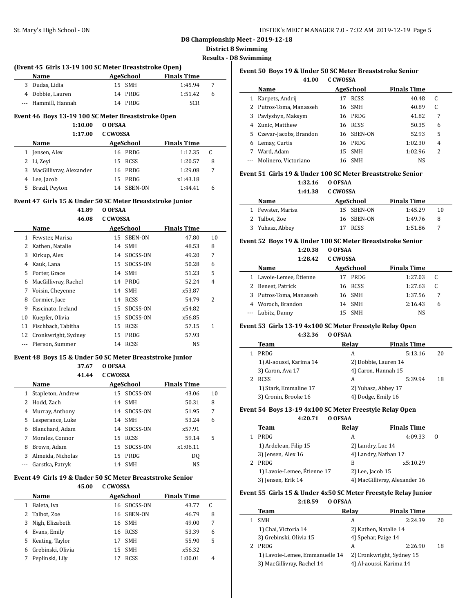## **District 8 Swimming**

**Results - D8 Swimming**

| (Event 45 Girls 13-19 100 SC Meter Breaststroke Open) |                                                           |                 |             |                    |    |  |  |
|-------------------------------------------------------|-----------------------------------------------------------|-----------------|-------------|--------------------|----|--|--|
|                                                       | <b>Name</b>                                               |                 | AgeSchool   | <b>Finals Time</b> |    |  |  |
| 3                                                     | Dudas, Lidia                                              | 15              | <b>SMH</b>  | 1:45.94            | 7  |  |  |
|                                                       | 4 Dobbie, Lauren                                          | 14              | PRDG        | 1:51.42            | 6  |  |  |
|                                                       | --- Hammill, Hannah                                       |                 | 14 PRDG     | <b>SCR</b>         |    |  |  |
|                                                       | Event 46 Boys 13-19 100 SC Meter Breaststroke Open        |                 |             |                    |    |  |  |
|                                                       | 1:10.00                                                   | O OFSAA         |             |                    |    |  |  |
|                                                       | 1:17.00                                                   | <b>C CWOSSA</b> |             |                    |    |  |  |
|                                                       | Name                                                      |                 | AgeSchool   | <b>Finals Time</b> |    |  |  |
| 1                                                     | Jensen, Alex                                              |                 | 16 PRDG     | 1:12.35            | C  |  |  |
| 2                                                     | Li, Zeyi                                                  | 15              | RCSS        | 1:20.57            | 8  |  |  |
| 3                                                     | MacGillivray, Alexander                                   |                 | 16 PRDG     | 1:29.08            | 7  |  |  |
| 4                                                     | Lee, Jacob                                                |                 | 15 PRDG     | x1:43.18           |    |  |  |
| 5                                                     | Brazil, Peyton                                            | 14              | SBEN-ON     | 1:44.41            | 6  |  |  |
|                                                       | Event 47 Girls 15 & Under 50 SC Meter Breaststroke Junior |                 |             |                    |    |  |  |
| O OFSAA<br>41.89                                      |                                                           |                 |             |                    |    |  |  |
|                                                       | 46.08                                                     | <b>C CWOSSA</b> |             |                    |    |  |  |
|                                                       | Name                                                      |                 | AgeSchool   | <b>Finals Time</b> |    |  |  |
|                                                       | 1 Fewster, Marisa                                         |                 | 15 SBEN-ON  | 47.80              | 10 |  |  |
|                                                       | 2 Kathen, Natalie                                         |                 | 14 SMH      | 48.53              | 8  |  |  |
|                                                       | 3 Kirkup, Alex                                            |                 | 14 SDCSS-ON | 49.20              | 7  |  |  |
|                                                       | 4 Kauk, Lana                                              |                 | 15 SDCSS-ON | 50.28              | 6  |  |  |
|                                                       | 5 Porter, Grace                                           |                 | 14 SMH      | 51.23              | 5  |  |  |
|                                                       | 6 MacGillivray, Rachel                                    |                 | 14 PRDG     | 52.24              | 4  |  |  |
|                                                       | 7 Voisin, Cheyenne                                        |                 | 14 SMH      | x53.87             |    |  |  |
| 8                                                     | Cormier, Jace                                             |                 | 14 RCSS     | 54.79              | 2  |  |  |
| 9                                                     | Fascinato, Ireland                                        |                 | 15 SDCSS-ON | x54.82             |    |  |  |
|                                                       | 10 Kuepfer, Olivia                                        |                 | 15 SDCSS-ON | x56.85             |    |  |  |
|                                                       | 11 Fischbach, Tabitha                                     |                 | 15 RCSS     | 57.15              | 1  |  |  |
| 12                                                    | Cronkwright, Sydney                                       | 15              | PRDG        | 57.93              |    |  |  |
| $\overline{a}$                                        | Pierson, Summer                                           |                 | 14 RCSS     | NS                 |    |  |  |
|                                                       | Event 48 Boys 15 & Under 50 SC Meter Breaststroke Junior  |                 |             |                    |    |  |  |
|                                                       | 37.67                                                     | O OFSAA         |             |                    |    |  |  |
|                                                       | 41.44                                                     | <b>C CWOSSA</b> |             |                    |    |  |  |
|                                                       | Name                                                      |                 | AgeSchool   | Finale Time        |    |  |  |

|   | Name                |    | AgeSchool   | <b>Finals Time</b> |    |
|---|---------------------|----|-------------|--------------------|----|
|   | 1 Stapleton, Andrew |    | 15 SDCSS-ON | 43.06              | 10 |
|   | 2 Hodd, Zach        |    | 14 SMH      | 50.31              | 8  |
|   | 4 Murray, Anthony   |    | 14 SDCSS-ON | 51.95              | 7  |
|   | 5 Lesperance, Luke  | 14 | <b>SMH</b>  | 53.24              | 6  |
|   | 6 Blanchard, Adam   |    | 14 SDCSS-ON | x57.91             |    |
|   | 7 Morales, Connor   |    | 15 RCSS     | 59.14              | 5  |
| 8 | Brown, Adam         |    | 15 SDCSS-ON | x1:06.11           |    |
|   | 3 Almeida, Nicholas | 15 | PRDG        | DO.                |    |
|   | Garstka, Patryk     | 14 | <b>SMH</b>  | <b>NS</b>          |    |

## **Event 49 Girls 19 & Under 50 SC Meter Breaststroke Senior**

### **45.00 C CWOSSA**

|   | <b>Name</b>       | AgeSchool |             | <b>Finals Time</b> |   |  |
|---|-------------------|-----------|-------------|--------------------|---|--|
|   | Baleta, Iva       | 16        | SDCSS-ON    | 43.77              |   |  |
|   | 2 Talbot, Zoe     | 16        | SBEN-ON     | 46.79              | 8 |  |
| 3 | Nigh, Elizabeth   |           | 16 SMH      | 49.00              | 7 |  |
| 4 | Evans, Emily      | 16        | <b>RCSS</b> | 53.39              | 6 |  |
|   | 5 Keating, Taylor | 17        | <b>SMH</b>  | 55.90              | 5 |  |
| 6 | Grebinski, Olivia | 15        | <b>SMH</b>  | x56.32             |   |  |
|   | Peplinski, Lily   |           | <b>RCSS</b> | 1:00.01            | 4 |  |

| Event 50 Boys 19 & Under 50 SC Meter Breaststroke Senior |                          |           |             |                    |   |  |
|----------------------------------------------------------|--------------------------|-----------|-------------|--------------------|---|--|
|                                                          | 41.00                    | C.C.WOSSA |             |                    |   |  |
|                                                          | Name                     |           | AgeSchool   | <b>Finals Time</b> |   |  |
| 1                                                        | Karpets, Andrij          | 17        | <b>RCSS</b> | 40.48              | C |  |
|                                                          | 2 Putros-Toma, Manasseh  |           | 16 SMH      | 40.89              | C |  |
| 3                                                        | Pavlyshyn, Maksym        | 16        | PRDG        | 41.82              | 7 |  |
|                                                          | 4 Zunic, Matthew         | 16        | <b>RCSS</b> | 50.35              | 6 |  |
|                                                          | 5 Czevar-Jacobs, Brandon | 16        | SBEN-ON     | 52.93              | 5 |  |
| 6                                                        | Lemay, Curtis            | 16        | PRDG        | 1:02.30            | 4 |  |
|                                                          | Ward, Adam               | 15.       | <b>SMH</b>  | 1:02.96            | 2 |  |
|                                                          | Molinero, Victoriano     | 16        | <b>SMH</b>  | NS.                |   |  |
|                                                          |                          |           |             |                    |   |  |

### **Event 51 Girls 19 & Under 100 SC Meter Breaststroke Senior**

**1:32.16 O OFSAA**

| Name            | AgeSchool   | <b>Finals Time</b> |    |
|-----------------|-------------|--------------------|----|
| Fewster, Marisa | 15 SBEN-ON  | 1:45.29            | 10 |
| 2 Talbot, Zoe   | 16 SBEN-ON  | 1:49.76            | -8 |
| 3 Yuhasz, Abbey | <b>RCSS</b> | 1:51.86            |    |

## **Event 52 Boys 19 & Under 100 SC Meter Breaststroke Senior**

### **1:20.38 O OFSAA 1:28.42 C CWOSSA**

| Name                    |     | AgeSchool  | <b>Finals Time</b> |   |
|-------------------------|-----|------------|--------------------|---|
| 1 Lavoie-Lemee, Étienne | 17  | PRDG       | 1:27.03            | C |
| 2 Benest, Patrick       |     | 16 RCSS    | 1:27.63            |   |
| 3 Putros-Toma, Manasseh |     | 16 SMH     | 1:37.56            |   |
| 4 Woroch, Brandon       |     | 14 SMH     | 2:16.43            | 6 |
| --- Lubitz, Danny       | 15. | <b>SMH</b> | NS.                |   |

#### **Event 53 Girls 13-19 4x100 SC Meter Freestyle Relay Open 4:32.36 O OFSAA**

| Team                    | Relav | <b>Finals Time</b>   |    |
|-------------------------|-------|----------------------|----|
| PRDG                    | A     | 5:13.16              | 20 |
| 1) Al-aoussi, Karima 14 |       | 2) Dobbie, Lauren 14 |    |
| 3) Caron, Ava 17        |       | 4) Caron, Hannah 15  |    |
| <b>RCSS</b>             | A     | 5:39.94              | 18 |
| 1) Stark, Emmaline 17   |       | 2) Yuhasz, Abbey 17  |    |
| 3) Cronin, Brooke 16    |       | 4) Dodge, Emily 16   |    |

#### **Event 54 Boys 13-19 4x100 SC Meter Freestyle Relay Open 4:20.71 O OFSAA**

| . . <i>.</i> .<br>. |                             |                   |                               |   |  |
|---------------------|-----------------------------|-------------------|-------------------------------|---|--|
|                     | Team                        | Relav             | <b>Finals Time</b>            |   |  |
|                     | PRDG                        | А                 | 4:09.33                       | 0 |  |
|                     | 1) Ardelean, Filip 15       | 2) Landry, Luc 14 |                               |   |  |
|                     | 3) Jensen, Alex 16          |                   | 4) Landry, Nathan 17          |   |  |
|                     | PRDG                        | В                 | x5:10.29                      |   |  |
|                     | 1) Lavoie-Lemee, Étienne 17 | 2) Lee, Jacob 15  |                               |   |  |
|                     | 3) Jensen, Erik 14          |                   | 4) MacGillivray, Alexander 16 |   |  |

# **Event 55 Girls 15 & Under 4x50 SC Meter Freestyle Relay Junior**

**2:18.59 O OFSAA**

| Team                           | Relav | <b>Finals Time</b>        |    |
|--------------------------------|-------|---------------------------|----|
| <b>SMH</b>                     | А     | 2:24.39                   | 20 |
| 1) Chai, Victoria 14           |       | 2) Kathen, Natalie 14     |    |
| 3) Grebinski, Olivia 15        |       | 4) Spehar, Paige 14       |    |
| <b>PRDG</b>                    | А     | 2:26.90                   | 18 |
| 1) Lavoie-Lemee, Emmanuelle 14 |       | 2) Cronkwright, Sydney 15 |    |
| 3) MacGillivray, Rachel 14     |       | 4) Al-aoussi, Karima 14   |    |